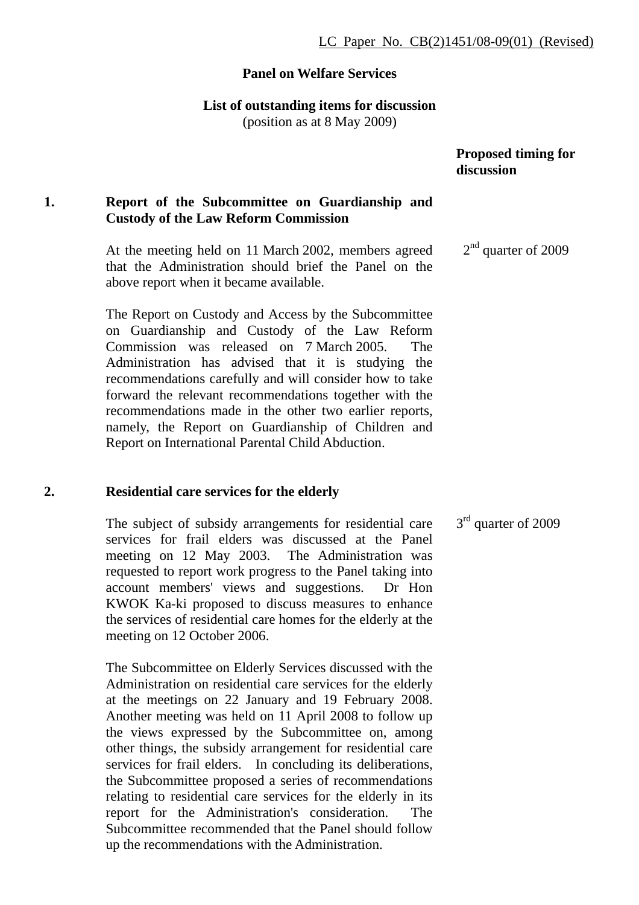#### **Panel on Welfare Services**

**List of outstanding items for discussion** 

(position as at 8 May 2009)

### **Proposed timing for discussion**

## **1. Report of the Subcommittee on Guardianship and Custody of the Law Reform Commission**

At the meeting held on 11 March 2002, members agreed that the Administration should brief the Panel on the above report when it became available. 2<sup>nd</sup> quarter of 2009

The Report on Custody and Access by the Subcommittee on Guardianship and Custody of the Law Reform Commission was released on 7 March 2005. The Administration has advised that it is studying the recommendations carefully and will consider how to take forward the relevant recommendations together with the recommendations made in the other two earlier reports, namely, the Report on Guardianship of Children and Report on International Parental Child Abduction.

### **2. Residential care services for the elderly**

The subject of subsidy arrangements for residential care services for frail elders was discussed at the Panel meeting on 12 May 2003. The Administration was requested to report work progress to the Panel taking into account members' views and suggestions. Dr Hon KWOK Ka-ki proposed to discuss measures to enhance the services of residential care homes for the elderly at the meeting on 12 October 2006.

The Subcommittee on Elderly Services discussed with the Administration on residential care services for the elderly at the meetings on 22 January and 19 February 2008. Another meeting was held on 11 April 2008 to follow up the views expressed by the Subcommittee on, among other things, the subsidy arrangement for residential care services for frail elders. In concluding its deliberations, the Subcommittee proposed a series of recommendations relating to residential care services for the elderly in its report for the Administration's consideration. The Subcommittee recommended that the Panel should follow up the recommendations with the Administration.

3<sup>rd</sup> quarter of 2009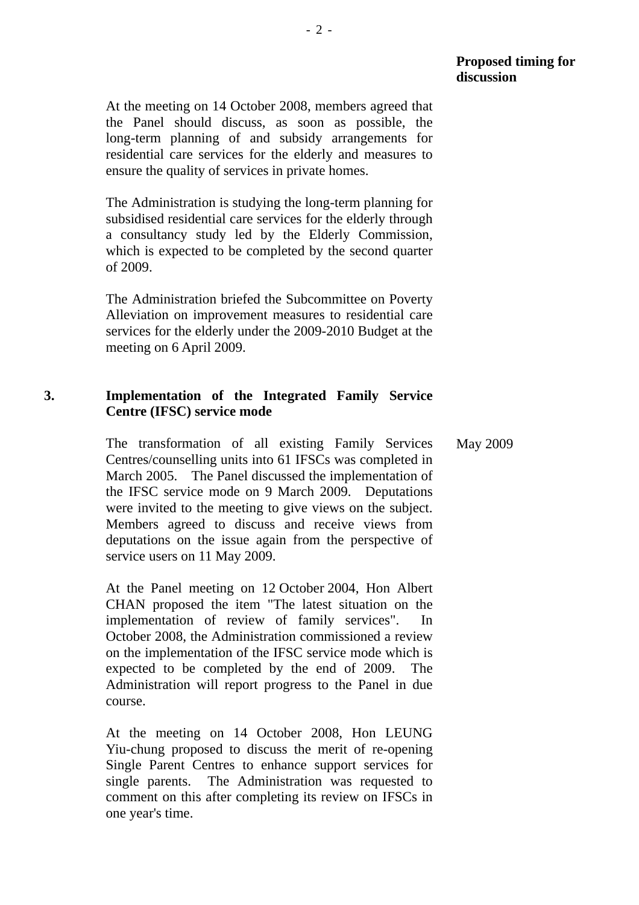At the meeting on 14 October 2008, members agreed that the Panel should discuss, as soon as possible, the long-term planning of and subsidy arrangements for residential care services for the elderly and measures to ensure the quality of services in private homes.

The Administration is studying the long-term planning for subsidised residential care services for the elderly through a consultancy study led by the Elderly Commission, which is expected to be completed by the second quarter of 2009.

The Administration briefed the Subcommittee on Poverty Alleviation on improvement measures to residential care services for the elderly under the 2009-2010 Budget at the meeting on 6 April 2009.

## **3. Implementation of the Integrated Family Service Centre (IFSC) service mode**

The transformation of all existing Family Services Centres/counselling units into 61 IFSCs was completed in March 2005. The Panel discussed the implementation of the IFSC service mode on 9 March 2009. Deputations were invited to the meeting to give views on the subject. Members agreed to discuss and receive views from deputations on the issue again from the perspective of service users on 11 May 2009.

At the Panel meeting on 12 October 2004, Hon Albert CHAN proposed the item "The latest situation on the implementation of review of family services". In October 2008, the Administration commissioned a review on the implementation of the IFSC service mode which is expected to be completed by the end of 2009. The Administration will report progress to the Panel in due course.

At the meeting on 14 October 2008, Hon LEUNG Yiu-chung proposed to discuss the merit of re-opening Single Parent Centres to enhance support services for single parents. The Administration was requested to comment on this after completing its review on IFSCs in one year's time.

May 2009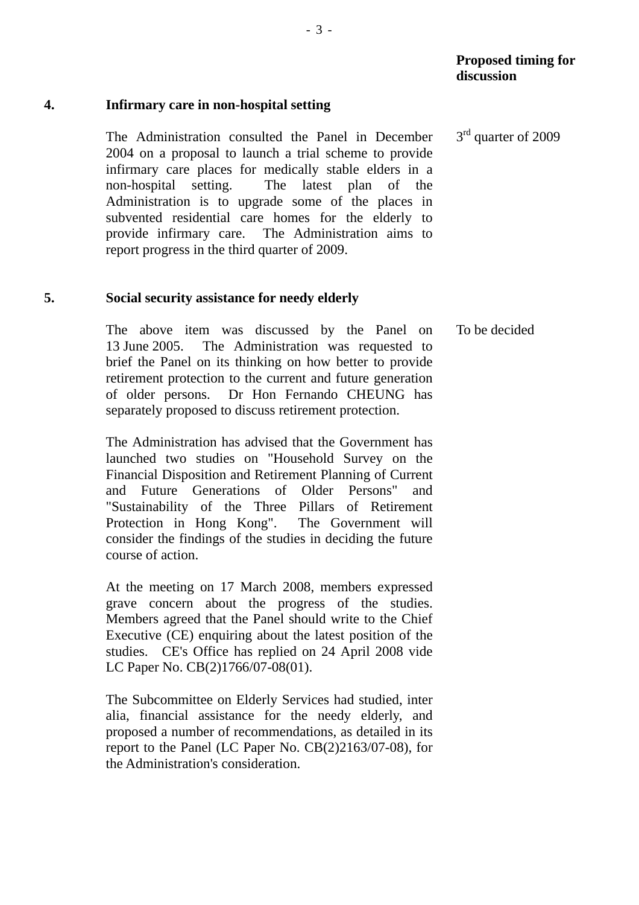# **4. Infirmary care in non-hospital setting**

The Administration consulted the Panel in December 2004 on a proposal to launch a trial scheme to provide infirmary care places for medically stable elders in a non-hospital setting. The latest plan of the Administration is to upgrade some of the places in subvented residential care homes for the elderly to provide infirmary care. The Administration aims to report progress in the third quarter of 2009.

# **5. Social security assistance for needy elderly**

The above item was discussed by the Panel on 13 June 2005. The Administration was requested to brief the Panel on its thinking on how better to provide retirement protection to the current and future generation of older persons. Dr Hon Fernando CHEUNG has separately proposed to discuss retirement protection.

The Administration has advised that the Government has launched two studies on "Household Survey on the Financial Disposition and Retirement Planning of Current and Future Generations of Older Persons" and "Sustainability of the Three Pillars of Retirement Protection in Hong Kong". The Government will consider the findings of the studies in deciding the future course of action.

At the meeting on 17 March 2008, members expressed grave concern about the progress of the studies. Members agreed that the Panel should write to the Chief Executive (CE) enquiring about the latest position of the studies. CE's Office has replied on 24 April 2008 vide LC Paper No. CB(2)1766/07-08(01).

The Subcommittee on Elderly Services had studied, inter alia, financial assistance for the needy elderly, and proposed a number of recommendations, as detailed in its report to the Panel (LC Paper No. CB(2)2163/07-08), for the Administration's consideration.

3<sup>rd</sup> quarter of 2009

To be decided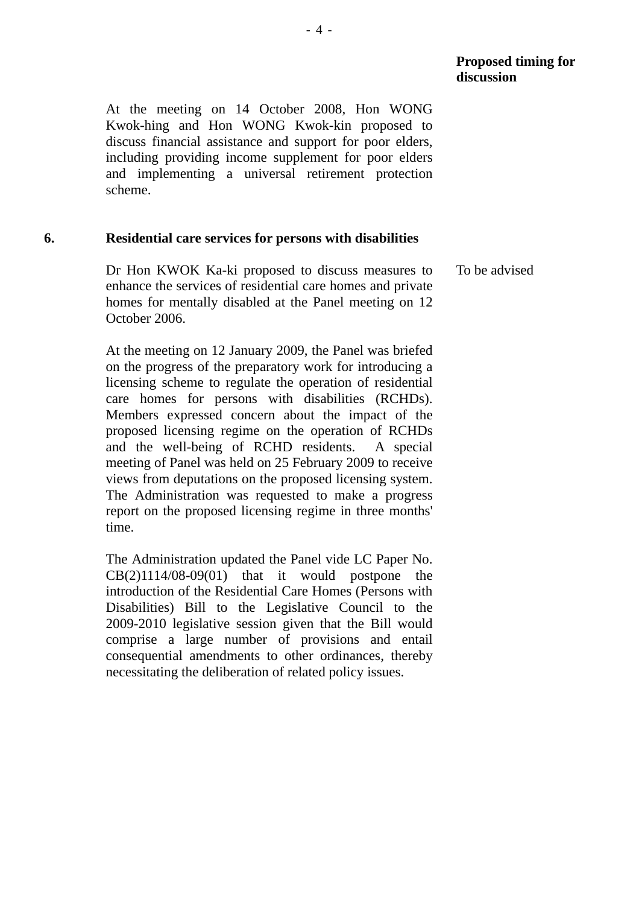At the meeting on 14 October 2008, Hon WONG Kwok-hing and Hon WONG Kwok-kin proposed to discuss financial assistance and support for poor elders, including providing income supplement for poor elders and implementing a universal retirement protection scheme.

#### **6. Residential care services for persons with disabilities**

Dr Hon KWOK Ka-ki proposed to discuss measures to enhance the services of residential care homes and private homes for mentally disabled at the Panel meeting on 12 October 2006. To be advised

At the meeting on 12 January 2009, the Panel was briefed on the progress of the preparatory work for introducing a licensing scheme to regulate the operation of residential care homes for persons with disabilities (RCHDs). Members expressed concern about the impact of the proposed licensing regime on the operation of RCHDs and the well-being of RCHD residents. A special meeting of Panel was held on 25 February 2009 to receive views from deputations on the proposed licensing system. The Administration was requested to make a progress report on the proposed licensing regime in three months' time.

The Administration updated the Panel vide LC Paper No.  $CB(2)1114/08-09(01)$  that it would postpone the introduction of the Residential Care Homes (Persons with Disabilities) Bill to the Legislative Council to the 2009-2010 legislative session given that the Bill would comprise a large number of provisions and entail consequential amendments to other ordinances, thereby necessitating the deliberation of related policy issues.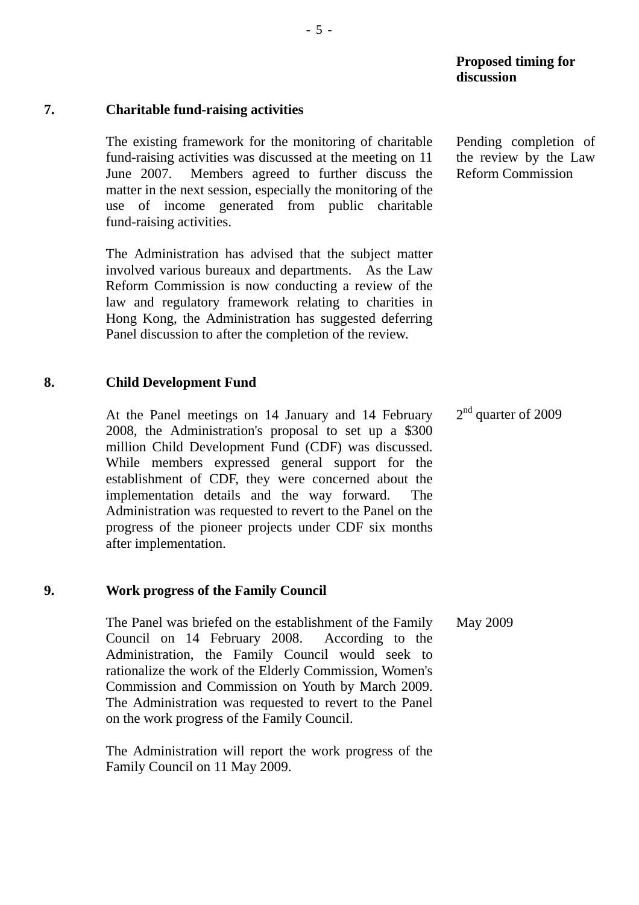#### **7. Charitable fund-raising activities**

The existing framework for the monitoring of charitable fund-raising activities was discussed at the meeting on 11 June 2007. Members agreed to further discuss the matter in the next session, especially the monitoring of the use of income generated from public charitable fund-raising activities.

The Administration has advised that the subject matter involved various bureaux and departments. As the Law Reform Commission is now conducting a review of the law and regulatory framework relating to charities in Hong Kong, the Administration has suggested deferring Panel discussion to after the completion of the review.

#### **8. Child Development Fund**

At the Panel meetings on 14 January and 14 February 2008, the Administration's proposal to set up a \$300 million Child Development Fund (CDF) was discussed. While members expressed general support for the establishment of CDF, they were concerned about the implementation details and the way forward. The Administration was requested to revert to the Panel on the progress of the pioneer projects under CDF six months after implementation.

#### **9. Work progress of the Family Council**

The Panel was briefed on the establishment of the Family Council on 14 February 2008. According to the Administration, the Family Council would seek to rationalize the work of the Elderly Commission, Women's Commission and Commission on Youth by March 2009. The Administration was requested to revert to the Panel on the work progress of the Family Council.

The Administration will report the work progress of the Family Council on 11 May 2009.

Pending completion of the review by the Law Reform Commission

 $2<sup>nd</sup>$  quarter of 2009

May 2009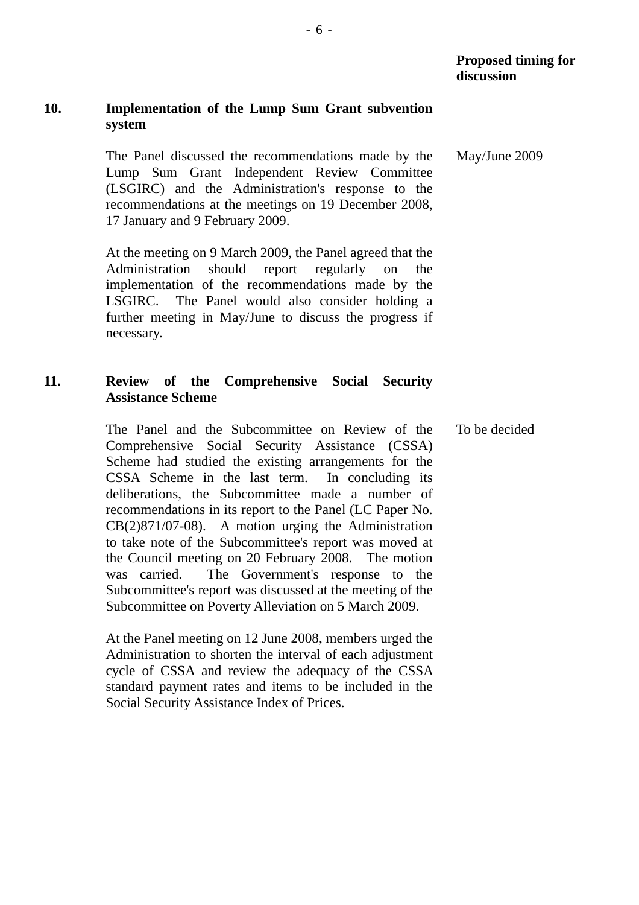# **10. Implementation of the Lump Sum Grant subvention system**

The Panel discussed the recommendations made by the Lump Sum Grant Independent Review Committee (LSGIRC) and the Administration's response to the recommendations at the meetings on 19 December 2008, 17 January and 9 February 2009.

At the meeting on 9 March 2009, the Panel agreed that the Administration should report regularly on the implementation of the recommendations made by the LSGIRC. The Panel would also consider holding a further meeting in May/June to discuss the progress if necessary.

# **11. Review of the Comprehensive Social Security Assistance Scheme**

The Panel and the Subcommittee on Review of the Comprehensive Social Security Assistance (CSSA) Scheme had studied the existing arrangements for the CSSA Scheme in the last term. In concluding its deliberations, the Subcommittee made a number of recommendations in its report to the Panel (LC Paper No. CB(2)871/07-08). A motion urging the Administration to take note of the Subcommittee's report was moved at the Council meeting on 20 February 2008. The motion was carried. The Government's response to the Subcommittee's report was discussed at the meeting of the Subcommittee on Poverty Alleviation on 5 March 2009.

At the Panel meeting on 12 June 2008, members urged the Administration to shorten the interval of each adjustment cycle of CSSA and review the adequacy of the CSSA standard payment rates and items to be included in the Social Security Assistance Index of Prices.

May/June 2009

To be decided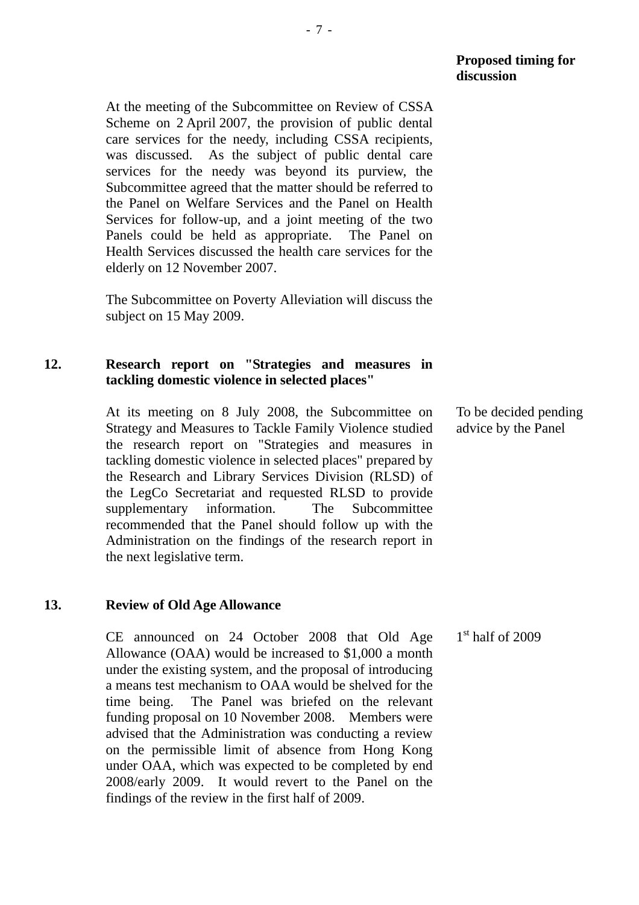At the meeting of the Subcommittee on Review of CSSA Scheme on 2 April 2007, the provision of public dental care services for the needy, including CSSA recipients, was discussed. As the subject of public dental care services for the needy was beyond its purview, the Subcommittee agreed that the matter should be referred to the Panel on Welfare Services and the Panel on Health Services for follow-up, and a joint meeting of the two Panels could be held as appropriate. The Panel on Health Services discussed the health care services for the elderly on 12 November 2007.

The Subcommittee on Poverty Alleviation will discuss the subject on 15 May 2009.

## **12. Research report on "Strategies and measures in tackling domestic violence in selected places"**

At its meeting on 8 July 2008, the Subcommittee on Strategy and Measures to Tackle Family Violence studied the research report on "Strategies and measures in tackling domestic violence in selected places" prepared by the Research and Library Services Division (RLSD) of the LegCo Secretariat and requested RLSD to provide supplementary information. The Subcommittee recommended that the Panel should follow up with the Administration on the findings of the research report in the next legislative term.

### **13. Review of Old Age Allowance**

CE announced on 24 October 2008 that Old Age Allowance (OAA) would be increased to \$1,000 a month under the existing system, and the proposal of introducing a means test mechanism to OAA would be shelved for the time being. The Panel was briefed on the relevant funding proposal on 10 November 2008. Members were advised that the Administration was conducting a review on the permissible limit of absence from Hong Kong under OAA, which was expected to be completed by end 2008/early 2009. It would revert to the Panel on the findings of the review in the first half of 2009.

To be decided pending advice by the Panel

 $1<sup>st</sup>$  half of 2009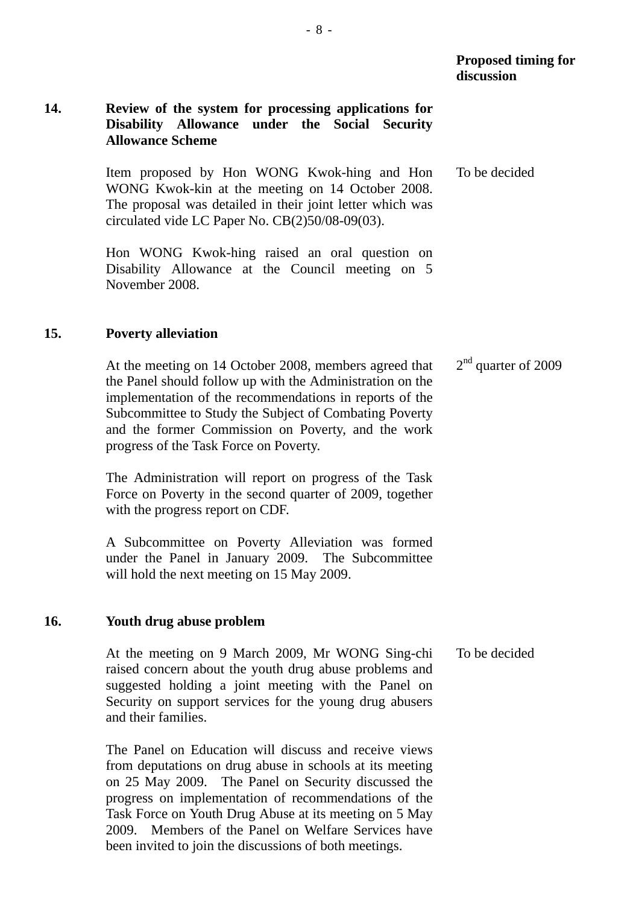| <b>Proposed timing for</b> |
|----------------------------|
| discussion                 |

## **14. Review of the system for processing applications for Disability Allowance under the Social Security Allowance Scheme**

Item proposed by Hon WONG Kwok-hing and Hon WONG Kwok-kin at the meeting on 14 October 2008. The proposal was detailed in their joint letter which was circulated vide LC Paper No. CB(2)50/08-09(03). To be decided

Hon WONG Kwok-hing raised an oral question on Disability Allowance at the Council meeting on 5 November 2008.

#### **15. Poverty alleviation**

At the meeting on 14 October 2008, members agreed that the Panel should follow up with the Administration on the implementation of the recommendations in reports of the Subcommittee to Study the Subject of Combating Poverty and the former Commission on Poverty, and the work progress of the Task Force on Poverty. 2<sup>nd</sup> quarter of 2009

The Administration will report on progress of the Task Force on Poverty in the second quarter of 2009, together with the progress report on CDF.

A Subcommittee on Poverty Alleviation was formed under the Panel in January 2009. The Subcommittee will hold the next meeting on 15 May 2009.

### **16. Youth drug abuse problem**

At the meeting on 9 March 2009, Mr WONG Sing-chi raised concern about the youth drug abuse problems and suggested holding a joint meeting with the Panel on Security on support services for the young drug abusers and their families. To be decided

The Panel on Education will discuss and receive views from deputations on drug abuse in schools at its meeting on 25 May 2009. The Panel on Security discussed the progress on implementation of recommendations of the Task Force on Youth Drug Abuse at its meeting on 5 May 2009. Members of the Panel on Welfare Services have been invited to join the discussions of both meetings.